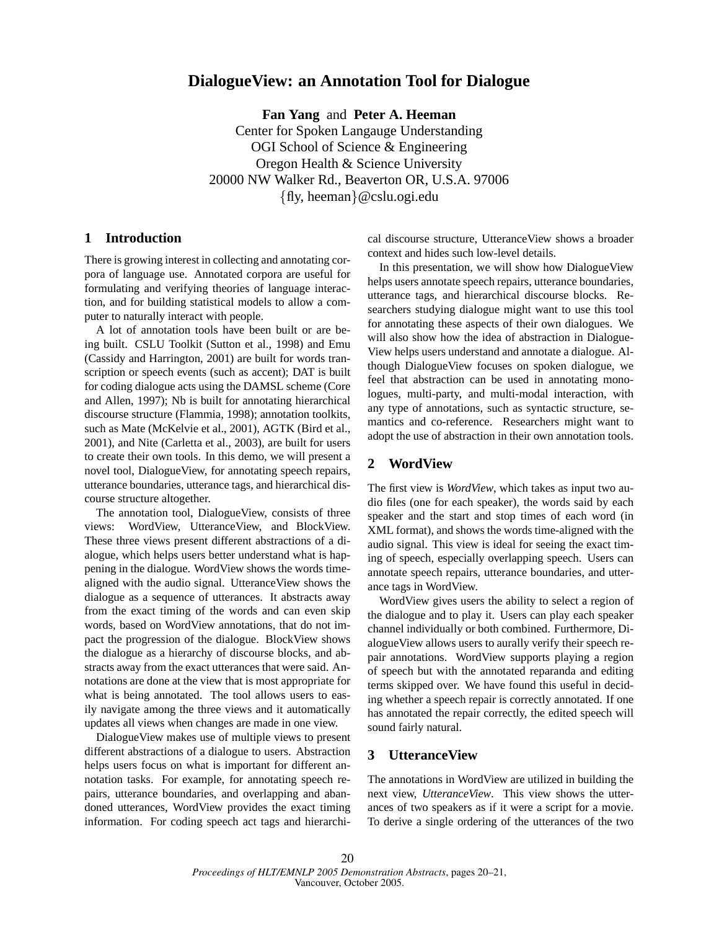# **DialogueView: an Annotation Tool for Dialogue**

**Fan Yang** and **Peter A. Heeman** Center for Spoken Langauge Understanding OGI School of Science & Engineering Oregon Health & Science University 20000 NW Walker Rd., Beaverton OR, U.S.A. 97006 {fly, heeman}@cslu.ogi.edu

## **1 Introduction**

There is growing interest in collecting and annotating corpora of language use. Annotated corpora are useful for formulating and verifying theories of language interaction, and for building statistical models to allow a computer to naturally interact with people.

A lot of annotation tools have been built or are being built. CSLU Toolkit (Sutton et al., 1998) and Emu (Cassidy and Harrington, 2001) are built for words transcription or speech events (such as accent); DAT is built for coding dialogue acts using the DAMSL scheme (Core and Allen, 1997); Nb is built for annotating hierarchical discourse structure (Flammia, 1998); annotation toolkits, such as Mate (McKelvie et al., 2001), AGTK (Bird et al., 2001), and Nite (Carletta et al., 2003), are built for users to create their own tools. In this demo, we will present a novel tool, DialogueView, for annotating speech repairs, utterance boundaries, utterance tags, and hierarchical discourse structure altogether.

The annotation tool, DialogueView, consists of three views: WordView, UtteranceView, and BlockView. These three views present different abstractions of a dialogue, which helps users better understand what is happening in the dialogue. WordView shows the words timealigned with the audio signal. UtteranceView shows the dialogue as a sequence of utterances. It abstracts away from the exact timing of the words and can even skip words, based on WordView annotations, that do not impact the progression of the dialogue. BlockView shows the dialogue as a hierarchy of discourse blocks, and abstracts away from the exact utterances that were said. Annotations are done at the view that is most appropriate for what is being annotated. The tool allows users to easily navigate among the three views and it automatically updates all views when changes are made in one view.

DialogueView makes use of multiple views to present different abstractions of a dialogue to users. Abstraction helps users focus on what is important for different annotation tasks. For example, for annotating speech repairs, utterance boundaries, and overlapping and abandoned utterances, WordView provides the exact timing information. For coding speech act tags and hierarchical discourse structure, UtteranceView shows a broader context and hides such low-level details.

In this presentation, we will show how DialogueView helps users annotate speech repairs, utterance boundaries, utterance tags, and hierarchical discourse blocks. Researchers studying dialogue might want to use this tool for annotating these aspects of their own dialogues. We will also show how the idea of abstraction in Dialogue-View helps users understand and annotate a dialogue. Although DialogueView focuses on spoken dialogue, we feel that abstraction can be used in annotating monologues, multi-party, and multi-modal interaction, with any type of annotations, such as syntactic structure, semantics and co-reference. Researchers might want to adopt the use of abstraction in their own annotation tools.

#### **2 WordView**

The first view is *WordView*, which takes as input two audio files (one for each speaker), the words said by each speaker and the start and stop times of each word (in XML format), and shows the words time-aligned with the audio signal. This view is ideal for seeing the exact timing of speech, especially overlapping speech. Users can annotate speech repairs, utterance boundaries, and utterance tags in WordView.

WordView gives users the ability to select a region of the dialogue and to play it. Users can play each speaker channel individually or both combined. Furthermore, DialogueView allows users to aurally verify their speech repair annotations. WordView supports playing a region of speech but with the annotated reparanda and editing terms skipped over. We have found this useful in deciding whether a speech repair is correctly annotated. If one has annotated the repair correctly, the edited speech will sound fairly natural.

#### **3 UtteranceView**

The annotations in WordView are utilized in building the next view, *UtteranceView*. This view shows the utterances of two speakers as if it were a script for a movie. To derive a single ordering of the utterances of the two